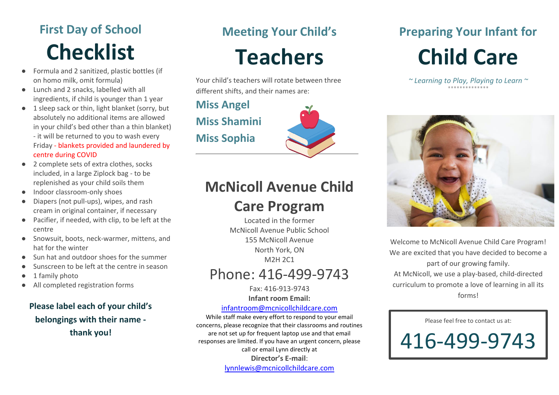# **First Day of School Checklist**

- Formula and 2 sanitized, plastic bottles (if on homo milk, omit formula)
- Lunch and 2 snacks, labelled with all ingredients, if child is younger than 1 year
- 1 sleep sack or thin, light blanket (sorry, but absolutely no additional items are allowed in your child's bed other than a thin blanket) - it will be returned to you to wash every Friday - blankets provided and laundered by centre during COVID
- 2 complete sets of extra clothes, socks included, in a large Ziplock bag - to be replenished as your child soils them
- Indoor classroom-only shoes
- Diapers (not pull-ups), wipes, and rash cream in original container, if necessary
- Pacifier, if needed, with clip, to be left at the centre
- Snowsuit, boots, neck-warmer, mittens, and hat for the winter
- Sun hat and outdoor shoes for the summer
- Sunscreen to be left at the centre in season
- 1 family photo
- All completed registration forms

### **Please label each of your child's belongings with their name thank you!**

# **Meeting Your Child's**

**Teachers**

Your child's teachers will rotate between three different shifts, and their names are:

**Miss Angel Miss Shamini Miss Sophia**



## **McNicoll Avenue Child**

### **Care Program**

Located in the former McNicoll Avenue Public School 155 McNicoll Avenue North York, ON M2H 2C1

## Phone: 416-499-9743

Fax: 416-913-9743 **Infant room Email:**

#### [infantroom@mcnicollchildcare.com](mailto:infantroom@mcnicollchildcare.com)

While staff make every effort to respond to your email concerns, please recognize that their classrooms and routines are not set up for frequent laptop use and that email responses are limited. If you have an urgent concern, please call or email Lynn directly at **Director's E-mail**: [lynnlewis@mcnicollchildcare.com](mailto:lynnlewis@mcnicollchildcare.com)

# **Preparing Your Infant for Child Care**

*~ Learning to Play, Playing to Learn ~*



Welcome to McNicoll Avenue Child Care Program! We are excited that you have decided to become a part of our growing family. At McNicoll, we use a play-based, child-directed curriculum to promote a love of learning in all its forms!

Please feel free to contact us at:

416-499-9743